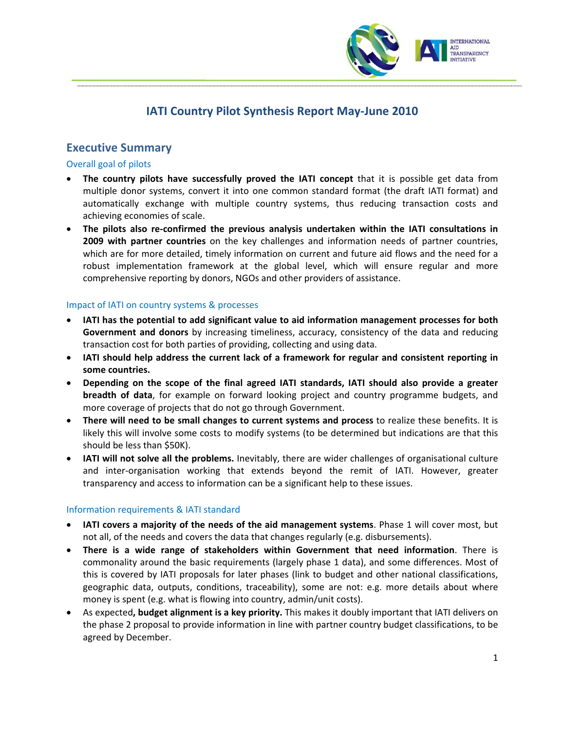

# **IATI Country Pilot Synthesis Report May‐June 2010**

# **Executive Summary**

### Overall goal of pilots

- **The country pilots have successfully proved the IATI concept** that it is possible get data from multiple donor systems, convert it into one common standard format (the draft IATI format) and automatically exchange with multiple country systems, thus reducing transaction costs and achieving economies of scale.
- **The pilots also re‐confirmed the previous analysis undertaken within the IATI consultations in 2009 with partner countries** on the key challenges and information needs of partner countries, which are for more detailed, timely information on current and future aid flows and the need for a robust implementation framework at the global level, which will ensure regular and more comprehensive reporting by donors, NGOs and other providers of assistance.

### Impact of IATI on country systems & processes

- **IATI has the potential to add significant value to aid information management processes for both Government and donors** by increasing timeliness, accuracy, consistency of the data and reducing transaction cost for both parties of providing, collecting and using data.
- **IATI should help address the current lack of a framework for regular and consistent reporting in some countries.**
- **Depending on the scope of the final agreed IATI standards, IATI should also provide a greater breadth of data**, for example on forward looking project and country programme budgets, and more coverage of projects that do not go through Government.
- **There will need to be small changes to current systems and process** to realize these benefits. It is likely this will involve some costs to modify systems (to be determined but indications are that this should be less than \$50K).
- **IATI will not solve all the problems.** Inevitably, there are wider challenges of organisational culture and inter‐organisation working that extends beyond the remit of IATI. However, greater transparency and access to information can be a significant help to these issues.

### Information requirements & IATI standard

- **IATI covers a majority of the needs of the aid management systems**. Phase 1 will cover most, but not all, of the needs and covers the data that changes regularly (e.g. disbursements).
- **There is a wide range of stakeholders within Government that need information**. There is commonality around the basic requirements (largely phase 1 data), and some differences. Most of this is covered by IATI proposals for later phases (link to budget and other national classifications, geographic data, outputs, conditions, traceability), some are not: e.g. more details about where money is spent (e.g. what is flowing into country, admin/unit costs).
- As expected**, budget alignment is a key priority.** This makes it doubly important that IATI delivers on the phase 2 proposal to provide information in line with partner country budget classifications, to be agreed by December.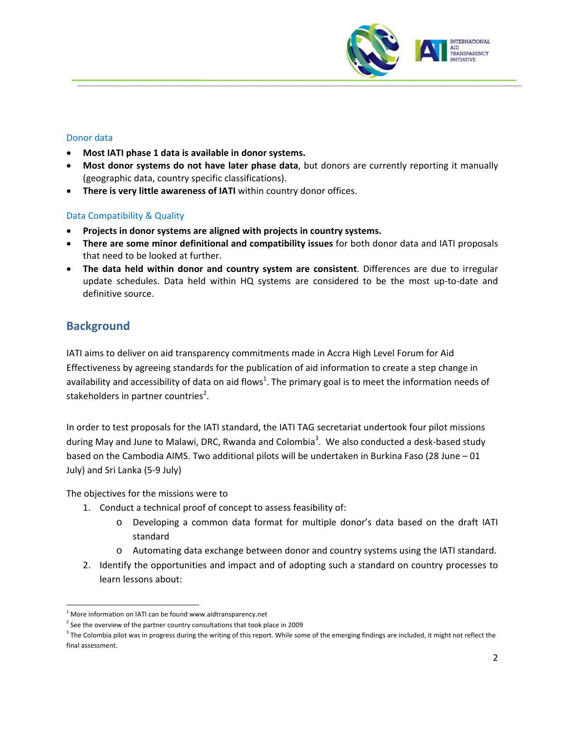

#### Donor data

- **Most IATI phase 1 data is available in donor systems.**
- **Most donor systems do not have later phase data**, but donors are currently reporting it manually (geographic data, country specific classifications).
- **There is very little awareness of IATI** within country donor offices.

## Data Compatibility & Quality

- **Projects in donor systems are aligned with projects in country systems.**
- **There are some minor definitional and compatibility issues** for both donor data and IATI proposals that need to be looked at further.
- **The data held within donor and country system are consistent**. Differences are due to irregular update schedules. Data held within HQ systems are considered to be the most up-to-date and definitive source.

# **Background**

IATI aims to deliver on aid transparency commitments made in Accra High Level Forum for Aid Effectiveness by agreeing standards for the publication of aid information to create a step change in availability and accessibility of data on aid flows<sup>1</sup>[.](#page-1-0) The primary goal is to meet the information needs of stakeholders in partner countries<sup>2</sup>[.](#page-1-1)

In order to test proposals for the IATI standard, the IATI TAG secretariat undertook four pilot missions during May and June to Malawi, DRC, Rwanda and Colombia<sup>[3](#page-1-2)</sup>. We also conducted a desk-based study based on the Cambodia AIMS. Two additional pilots will be undertaken in Burkina Faso (28 June – 01 July) and Sri Lanka (5‐9 July)

The objectives for the missions were to

- 1. Conduct a technical proof of concept to assess feasibility of:
	- o Developing a common data format for multiple donor's data based on the draft IATI standard
	- o Automating data exchange between donor and country systems using the IATI standard.
- 2. Identify the opportunities and impact and of adopting such a standard on country processes to learn lessons about:

<span id="page-1-0"></span>  $1$  More information on IATI can be found www.aidtransparency.net

<span id="page-1-1"></span> $2$  See the overview of the partner country consultations that took place in 2009

<span id="page-1-2"></span><sup>&</sup>lt;sup>3</sup> The Colombia pilot was in progress during the writing of this report. While some of the emerging findings are included, it might not reflect the final assessment.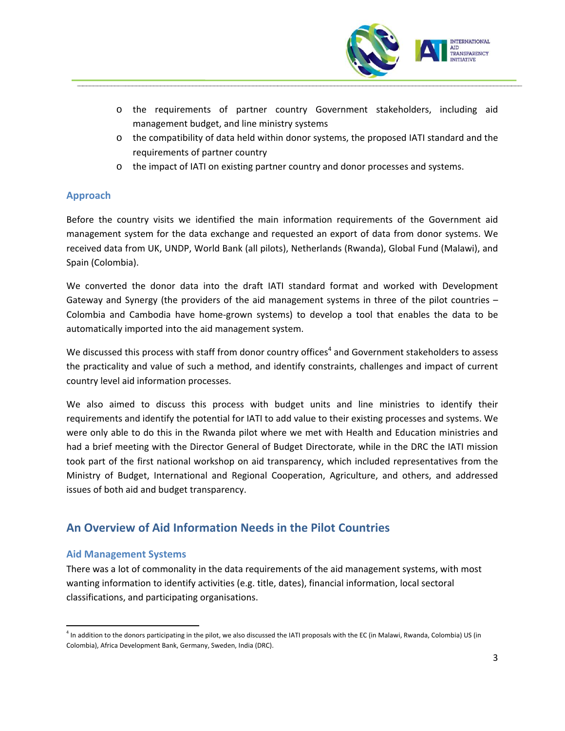

- o the requirements of partner country Government stakeholders, including aid management budget, and line ministry systems
- $\circ$  the compatibility of data held within donor systems, the proposed IATI standard and the requirements of partner country
- o the impact of IATI on existing partner country and donor processes and systems.

## **Approach**

Before the country visits we identified the main information requirements of the Government aid management system for the data exchange and requested an export of data from donor systems. We received data from UK, UNDP, World Bank (all pilots), Netherlands (Rwanda), Global Fund (Malawi), and Spain (Colombia).

We converted the donor data into the draft IATI standard format and worked with Development Gateway and Synergy (the providers of the aid management systems in three of the pilot countries – Colombia and Cambodia have home‐grown systems) to develop a tool that enables the data to be automatically imported into the aid management system.

We discussed this process with staff from donor country offices<sup>[4](#page-2-0)</sup> and Government stakeholders to assess the practicality and value of such a method, and identify constraints, challenges and impact of current country level aid information processes.

We also aimed to discuss this process with budget units and line ministries to identify their requirements and identify the potential for IATI to add value to their existing processes and systems. We were only able to do this in the Rwanda pilot where we met with Health and Education ministries and had a brief meeting with the Director General of Budget Directorate, while in the DRC the IATI mission took part of the first national workshop on aid transparency, which included representatives from the Ministry of Budget, International and Regional Cooperation, Agriculture, and others, and addressed issues of both aid and budget transparency.

# **An Overview of Aid Information Needs in the Pilot Countries**

### **Aid Management Systems**

There was a lot of commonality in the data requirements of the aid management systems, with most wanting information to identify activities (e.g. title, dates), financial information, local sectoral classifications, and participating organisations.

<span id="page-2-0"></span> <sup>4</sup> In addition to the donors participating in the pilot, we also discussed the IATI proposals with the EC (in Malawi, Rwanda, Colombia) US (in Colombia), Africa Development Bank, Germany, Sweden, India (DRC).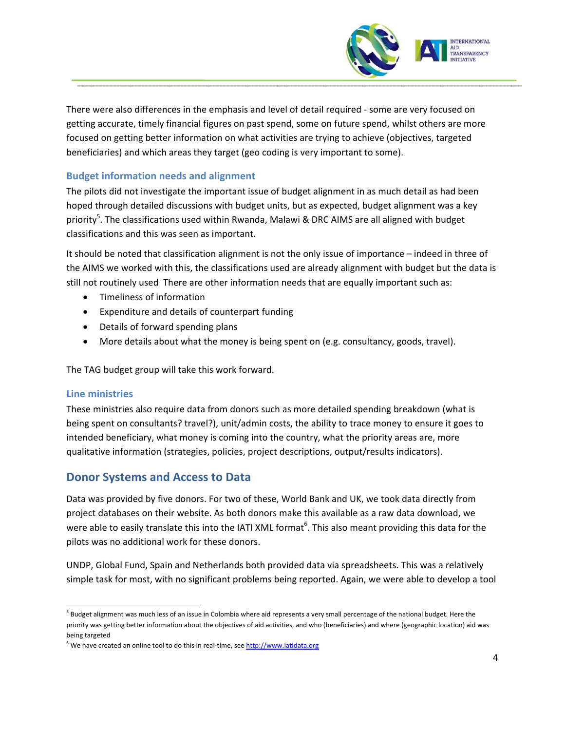

There were also differences in the emphasis and level of detail required ‐ some are very focused on getting accurate, timely financial figures on past spend, some on future spend, whilst others are more focused on getting better information on what activities are trying to achieve (objectives, targeted beneficiaries) and which areas they target (geo coding is very important to some).

## **Budget information needs and alignment**

The pilots did not investigate the important issue of budget alignment in as much detail as had been hoped through detailed discussions with budget units, but as expected, budget alignment was a key priority<sup>[5](#page-3-0)</sup>. The classifications used within Rwanda, Malawi & DRC AIMS are all aligned with budget classifications and this was seen as important.

It should be noted that classification alignment is not the only issue of importance – indeed in three of the AIMS we worked with this, the classifications used are already alignment with budget but the data is still not routinely used There are other information needs that are equally important such as:

- Timeliness of information
- Expenditure and details of counterpart funding
- Details of forward spending plans
- More details about what the money is being spent on (e.g. consultancy, goods, travel).

The TAG budget group will take this work forward.

### **Line ministries**

These ministries also require data from donors such as more detailed spending breakdown (what is being spent on consultants? travel?), unit/admin costs, the ability to trace money to ensure it goes to intended beneficiary, what money is coming into the country, what the priority areas are, more qualitative information (strategies, policies, project descriptions, output/results indicators).

## **Donor Systems and Access to Data**

Data was provided by five donors. For two of these, World Bank and UK, we took data directly from project databases on their website. As both donors make this available as a raw data download, we were able to easily translate this into the IATI XML format<sup>[6](#page-3-1)</sup>. This also meant providing this data for the pilots was no additional work for these donors.

UNDP, Global Fund, Spain and Netherlands both provided data via spreadsheets. This was a relatively simple task for most, with no significant problems being reported. Again, we were able to develop a tool

<span id="page-3-0"></span><sup>&</sup>lt;sup>5</sup> Budget alignment was much less of an issue in Colombia where aid represents a very small percentage of the national budget. Here the priority was getting better information about the objectives of aid activities, and who (beneficiaries) and where (geographic location) aid was being targeted

<span id="page-3-1"></span><sup>&</sup>lt;sup>6</sup> We have created an online tool to do this in real-time, see [http://www.iatidata.org](http://www.iatidata.org/)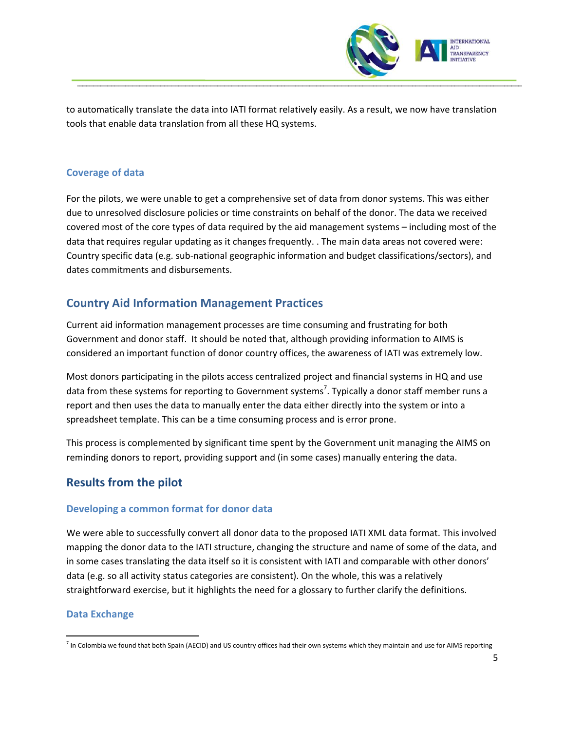

to automatically translate the data into IATI format relatively easily. As a result, we now have translation tools that enable data translation from all these HQ systems.

## **Coverage of data**

For the pilots, we were unable to get a comprehensive set of data from donor systems. This was either due to unresolved disclosure policies or time constraints on behalf of the donor. The data we received covered most of the core types of data required by the aid management systems – including most of the data that requires regular updating as it changes frequently. . The main data areas not covered were: Country specific data (e.g. sub‐national geographic information and budget classifications/sectors), and dates commitments and disbursements.

# **Country Aid Information Management Practices**

Current aid information management processes are time consuming and frustrating for both Government and donor staff. It should be noted that, although providing information to AIMS is considered an important function of donor country offices, the awareness of IATI was extremely low.

Most donors participating in the pilots access centralized project and financial systems in HQ and use data from these systems for reporting to Government systems<sup>[7](#page-4-0)</sup>. Typically a donor staff member runs a report and then uses the data to manually enter the data either directly into the system or into a spreadsheet template. This can be a time consuming process and is error prone.

This process is complemented by significant time spent by the Government unit managing the AIMS on reminding donors to report, providing support and (in some cases) manually entering the data.

# **Results from the pilot**

## **Developing a common format for donor data**

We were able to successfully convert all donor data to the proposed IATI XML data format. This involved mapping the donor data to the IATI structure, changing the structure and name of some of the data, and in some cases translating the data itself so it is consistent with IATI and comparable with other donors' data (e.g. so all activity status categories are consistent). On the whole, this was a relatively straightforward exercise, but it highlights the need for a glossary to further clarify the definitions.

### **Data Exchange**

<span id="page-4-0"></span> $<sup>7</sup>$  In Colombia we found that both Spain (AECID) and US country offices had their own systems which they maintain and use for AIMS reporting</sup>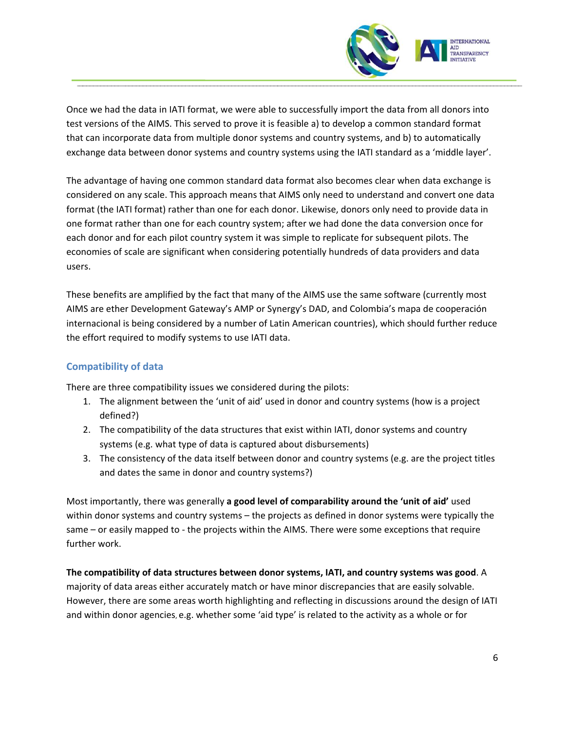

Once we had the data in IATI format, we were able to successfully import the data from all donors into test versions of the AIMS. This served to prove it is feasible a) to develop a common standard format that can incorporate data from multiple donor systems and country systems, and b) to automatically exchange data between donor systems and country systems using the IATI standard as a 'middle layer'.

The advantage of having one common standard data format also becomes clear when data exchange is considered on any scale. This approach means that AIMS only need to understand and convert one data format (the IATI format) rather than one for each donor. Likewise, donors only need to provide data in one format rather than one for each country system; after we had done the data conversion once for each donor and for each pilot country system it was simple to replicate for subsequent pilots. The economies of scale are significant when considering potentially hundreds of data providers and data users.

These benefits are amplified by the fact that many of the AIMS use the same software (currently most AIMS are ether Development Gateway's AMP or Synergy's DAD, and Colombia's mapa de cooperación internacional is being considered by a number of Latin American countries), which should further reduce the effort required to modify systems to use IATI data.

# **Compatibility of data**

There are three compatibility issues we considered during the pilots:

- 1. The alignment between the 'unit of aid' used in donor and country systems (how is a project defined?)
- 2. The compatibility of the data structures that exist within IATI, donor systems and country systems (e.g. what type of data is captured about disbursements)
- 3. The consistency of the data itself between donor and country systems (e.g. are the project titles and dates the same in donor and country systems?)

Most importantly, there was generally **a good level of comparability around the 'unit of aid'** used within donor systems and country systems – the projects as defined in donor systems were typically the same – or easily mapped to - the projects within the AIMS. There were some exceptions that require further work.

**The compatibility of data structures between donor systems, IATI, and country systems was good**. A majority of data areas either accurately match or have minor discrepancies that are easily solvable. However, there are some areas worth highlighting and reflecting in discussions around the design of IATI and within donor agencies, e.g. whether some 'aid type' is related to the activity as a whole or for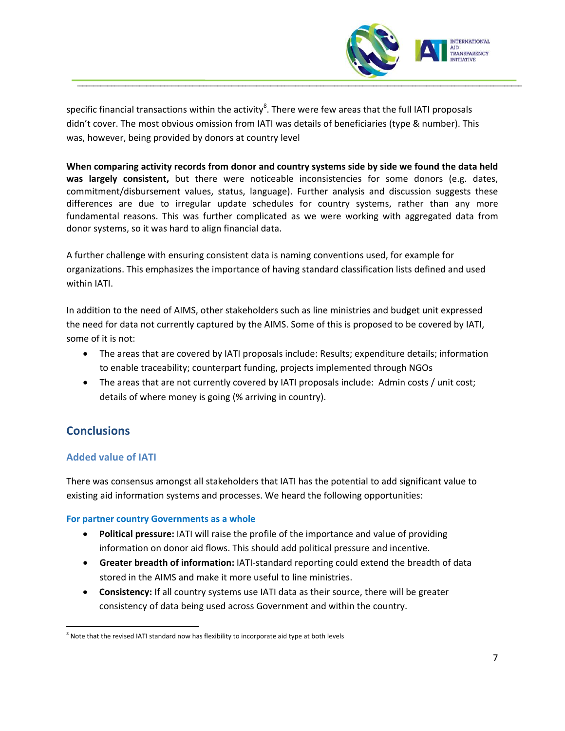

specific financial transactions within the activity $^8$  $^8$ . There were few areas that the full IATI proposals didn't cover. The most obvious omission from IATI was details of beneficiaries (type & number). This was, however, being provided by donors at country level

**When comparing activity records from donor and country systems side by side we found the data held was largely consistent,** but there were noticeable inconsistencies for some donors (e.g. dates, commitment/disbursement values, status, language). Further analysis and discussion suggests these differences are due to irregular update schedules for country systems, rather than any more fundamental reasons. This was further complicated as we were working with aggregated data from donor systems, so it was hard to align financial data.

A further challenge with ensuring consistent data is naming conventions used, for example for organizations. This emphasizes the importance of having standard classification lists defined and used within IATI.

In addition to the need of AIMS, other stakeholders such as line ministries and budget unit expressed the need for data not currently captured by the AIMS. Some of this is proposed to be covered by IATI, some of it is not:

- The areas that are covered by IATI proposals include: Results; expenditure details; information to enable traceability; counterpart funding, projects implemented through NGOs
- The areas that are not currently covered by IATI proposals include: Admin costs / unit cost; details of where money is going (% arriving in country).

# **Conclusions**

# **Added value of IATI**

There was consensus amongst all stakeholders that IATI has the potential to add significant value to existing aid information systems and processes. We heard the following opportunities:

## **For partner country Governments as a whole**

- **Political pressure:** IATI will raise the profile of the importance and value of providing information on donor aid flows. This should add political pressure and incentive.
- **Greater breadth of information:** IATI‐standard reporting could extend the breadth of data stored in the AIMS and make it more useful to line ministries.
- **Consistency:** If all country systems use IATI data as their source, there will be greater consistency of data being used across Government and within the country.

<span id="page-6-0"></span>  $8$  Note that the revised IATI standard now has flexibility to incorporate aid type at both levels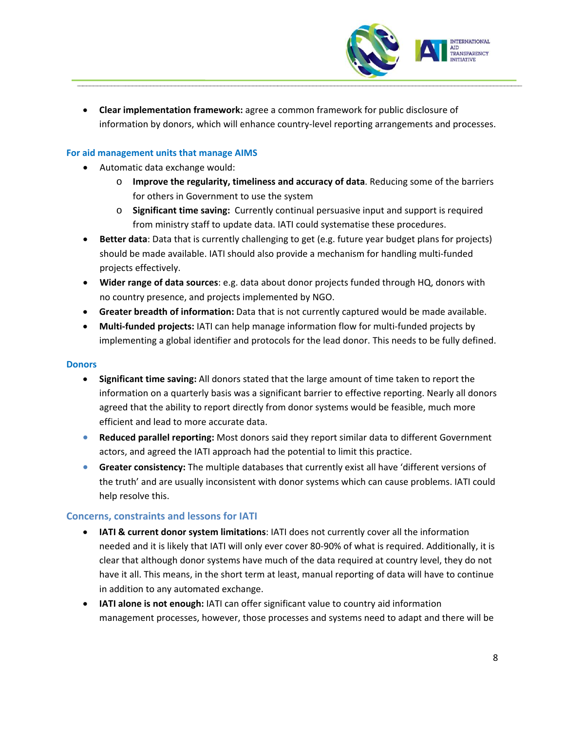

• **Clear implementation framework:** agree a common framework for public disclosure of information by donors, which will enhance country‐level reporting arrangements and processes.

## **For aid management units that manage AIMS**

- Automatic data exchange would:
	- o **Improve the regularity, timeliness and accuracy of data**. Reducing some of the barriers for others in Government to use the system
	- o **Significant time saving:** Currently continual persuasive input and support is required from ministry staff to update data. IATI could systematise these procedures.
- **Better data**: Data that is currently challenging to get (e.g. future year budget plans for projects) should be made available. IATI should also provide a mechanism for handling multi‐funded projects effectively.
- **Wider range of data sources**: e.g. data about donor projects funded through HQ, donors with no country presence, and projects implemented by NGO.
- **Greater breadth of information:** Data that is not currently captured would be made available.
- **Multi‐funded projects:** IATI can help manage information flow for multi‐funded projects by implementing a global identifier and protocols for the lead donor. This needs to be fully defined.

#### **Donors**

- **Significant time saving:** All donors stated that the large amount of time taken to report the information on a quarterly basis was a significant barrier to effective reporting. Nearly all donors agreed that the ability to report directly from donor systems would be feasible, much more efficient and lead to more accurate data.
- **Reduced parallel reporting:** Most donors said they report similar data to different Government actors, and agreed the IATI approach had the potential to limit this practice.
- **Greater consistency:** The multiple databases that currently exist all have 'different versions of the truth' and are usually inconsistent with donor systems which can cause problems. IATI could help resolve this.

### **Concerns, constraints and lessons for IATI**

- **IATI & current donor system limitations**: IATI does not currently cover all the information needed and it is likely that IATI will only ever cover 80‐90% of what is required. Additionally, it is clear that although donor systems have much of the data required at country level, they do not have it all. This means, in the short term at least, manual reporting of data will have to continue in addition to any automated exchange.
- **IATI alone is not enough:** IATI can offer significant value to country aid information management processes, however, those processes and systems need to adapt and there will be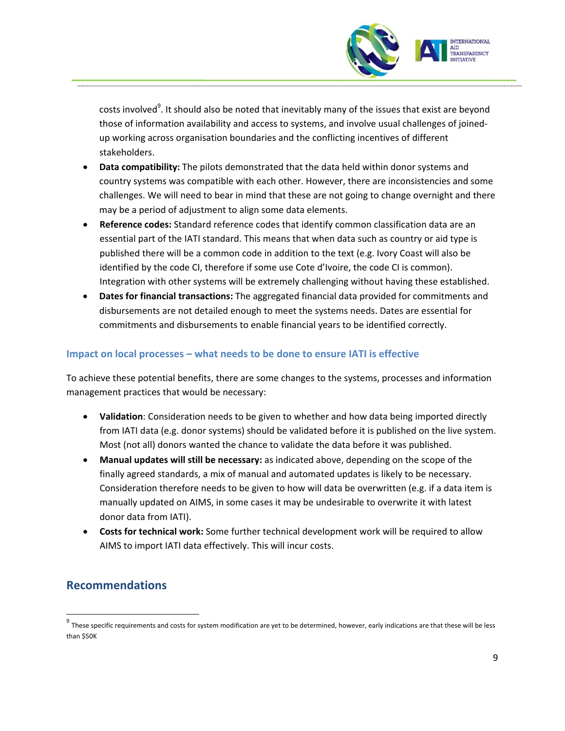

costs involved<sup>[9](#page-8-0)</sup>. It should also be noted that inevitably many of the issues that exist are beyond those of information availability and access to systems, and involve usual challenges of joined‐ up working across organisation boundaries and the conflicting incentives of different stakeholders.

- **Data compatibility:** The pilots demonstrated that the data held within donor systems and country systems was compatible with each other. However, there are inconsistencies and some challenges. We will need to bear in mind that these are not going to change overnight and there may be a period of adjustment to align some data elements.
- **Reference codes:** Standard reference codes that identify common classification data are an essential part of the IATI standard. This means that when data such as country or aid type is published there will be a common code in addition to the text (e.g. Ivory Coast will also be identified by the code CI, therefore if some use Cote d'Ivoire, the code CI is common). Integration with other systems will be extremely challenging without having these established.
- **Dates for financial transactions:** The aggregated financial data provided for commitments and disbursements are not detailed enough to meet the systems needs. Dates are essential for commitments and disbursements to enable financial years to be identified correctly.

# **Impact on local processes – what needs to be done to ensure IATI is effective**

To achieve these potential benefits, there are some changes to the systems, processes and information management practices that would be necessary:

- **Validation**: Consideration needs to be given to whether and how data being imported directly from IATI data (e.g. donor systems) should be validated before it is published on the live system. Most (not all) donors wanted the chance to validate the data before it was published.
- **Manual updates will still be necessary:** as indicated above, depending on the scope of the finally agreed standards, a mix of manual and automated updates is likely to be necessary. Consideration therefore needs to be given to how will data be overwritten (e.g. if a data item is manually updated on AIMS, in some cases it may be undesirable to overwrite it with latest donor data from IATI).
- **Costs for technical work:** Some further technical development work will be required to allow AIMS to import IATI data effectively. This will incur costs.

# **Recommendations**

<span id="page-8-0"></span> $9$  These specific requirements and costs for system modification are yet to be determined, however, early indications are that these will be less than \$50K